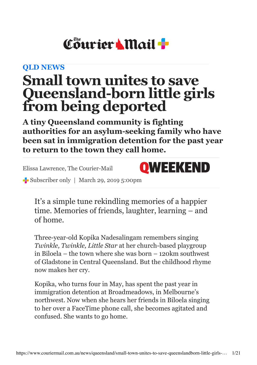# Courier Mail +

## **[QLD NEWS](http://www.couriermail.com.au/news/queensland)**

## **Small town unites to save Queensland-born little girls from being deported**

**A tiny Queensland community is fighting authorities for an asylum-seeking family who have been sat in immigration detention for the past year to return to the town they call home.**

Elissa Lawrence, The Courier-Mail



Subscriber only | March 29, 2019 5:00pm

It's a simple tune rekindling memories of a happier time. Memories of friends, laughter, learning – and of home.

Three-year-old Kopika Nadesalingam remembers singing *Twinkle, Twinkle, Little Star* at her church-based playgroup in Biloela – the town where she was born – 120km southwest of Gladstone in Central Queensland. But the childhood rhyme now makes her cry.

Kopika, who turns four in May, has spent the past year in immigration detention at Broadmeadows, in Melbourne's northwest. Now when she hears her friends in Biloela singing to her over a FaceTime phone call, she becomes agitated and confused. She wants to go home.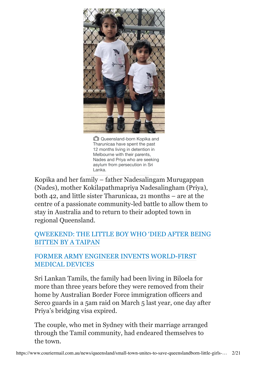

Queensland-born Kopika and Tharunicaa have spent the past 12 months living in detention in Melbourne with their parents, Nades and Priya who are seeking asylum from persecution in Sri Lanka.

Kopika and her family – father Nadesalingam Murugappan (Nades), mother Kokilapathmapriya Nadesalingham (Priya), both 42, and little sister Tharunicaa, 21 months – are at the centre of a passionate community-led battle to allow them to stay in Australia and to return to their adopted town in regional Queensland.

## [QWEEKEND: THE](https://www.couriermail.com.au/news/queensland/qweekend/meet-the-little-boy-who-died-after-being-bitten-by-a-taipan/news-story/8c12bd3bcc5b23bf92ac251418b0fdae) LITTLE BOY WHO 'DIED AFTER BEING BITTEN BY A TAIPAN

#### FORMER [ARMY ENGINEER](https://www.couriermail.com.au/news/queensland/qweekend/from-footy-to-the-army-to-medicine-this-inventor-is-combining-his-skills-to-create-worldfirst-technology/news-story/93865f74d94ccf6a86bb842ca187c51a) INVENTS WORLD-FIRST MEDICAL DEVICES

Sri Lankan Tamils, the family had been living in Biloela for more than three years before they were removed from their home by Australian Border Force immigration officers and Serco guards in a 5am raid on March 5 last year, one day after Priya's bridging visa expired.

The couple, who met in Sydney with their marriage arranged through the Tamil community, had endeared themselves to the town.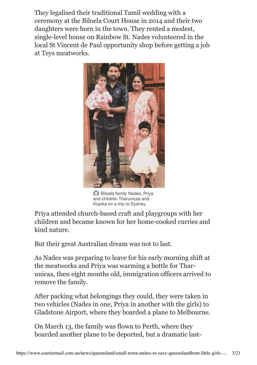They legalised their traditional Tamil wedding with a ceremony at the Biloela Court House in 2014 and their two daughters were born in the town. They rented a modest, single-level house on Rainbow St. Nades volunteered in the local St Vincent de Paul opportunity shop before getting a job at Teys meatworks.



**C** Biloela family Nades, Priya and children Tharunicaa and Kopika on a trip to Sydney.

Priya attended church-based craft and playgroups with her children and became known for her home-cooked curries and kind nature.

But their great Australian dream was not to last.

As Nades was preparing to leave for his early morning shift at the meatworks and Priya was warming a bottle for Tharunicaa, then eight months old, immigration officers arrived to remove the family.

After packing what belongings they could, they were taken in two vehicles (Nades in one, Priya in another with the girls) to Gladstone Airport, where they boarded a plane to Melbourne.

On March 13, the family was flown to Perth, where they boarded another plane to be deported, but a dramatic last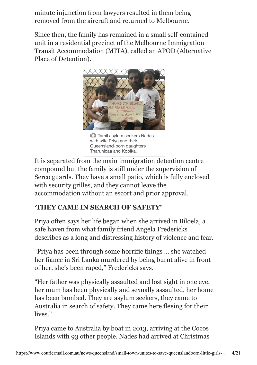minute injunction from lawyers resulted in them being removed from the aircraft and returned to Melbourne.

Since then, the family has remained in a small self-contained unit in a residential precinct of the Melbourne Immigration Transit Accommodation (MITA), called an APOD (Alternative Place of Detention).



Tamil asylum seekers Nades with wife Priya and their Queensland-born daughters Tharunicaa and Kopika.

It is separated from the main immigration detention centre compound but the family is still under the supervision of Serco guards. They have a small patio, which is fully enclosed with security grilles, and they cannot leave the accommodation without an escort and prior approval.

## **'THEY CAME IN SEARCH OF SAFETY'**

Priya often says her life began when she arrived in Biloela, a safe haven from what family friend Angela Fredericks describes as a long and distressing history of violence and fear.

"Priya has been through some horrific things … she watched her fiance in Sri Lanka murdered by being burnt alive in front of her, she's been raped," Fredericks says.

"Her father was physically assaulted and lost sight in one eye, her mum has been physically and sexually assaulted, her home has been bombed. They are asylum seekers, they came to Australia in search of safety. They came here fleeing for their lives."

Priya came to Australia by boat in 2013, arriving at the Cocos Islands with 93 other people. Nades had arrived at Christmas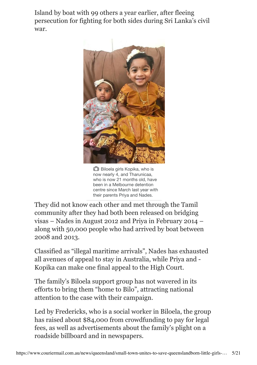Island by boat with 99 others a year earlier, after fleeing persecution for fighting for both sides during Sri Lanka's civil war.



**Biloela girls Kopika, who is** now nearly 4, and Tharunicaa, who is now 21 months old, have been in a Melbourne detention centre since March last year with their parents Priya and Nades.

They did not know each other and met through the Tamil community after they had both been released on bridging visas – Nades in August 2012 and Priya in February 2014 – along with 50,000 people who had arrived by boat between 2008 and 2013.

Classified as "illegal maritime arrivals", Nades has exhausted all avenues of appeal to stay in Australia, while Priya and - Kopika can make one final appeal to the High Court.

The family's Biloela support group has not wavered in its efforts to bring them "home to Bilo", attracting national attention to the case with their campaign.

Led by Fredericks, who is a social worker in Biloela, the group has raised about \$84,000 from crowdfunding to pay for legal fees, as well as advertisements about the family's plight on a roadside billboard and in newspapers.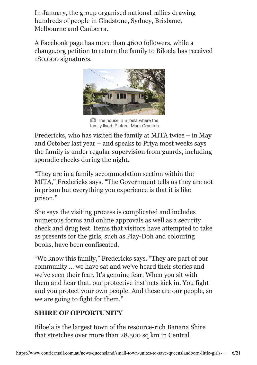In January, the group organised national rallies drawing hundreds of people in Gladstone, Sydney, Brisbane, Melbourne and Canberra.

A Facebook page has more than 4600 followers, while a change.org petition to return the family to Biloela has received 180,000 signatures.



**The house in Biloela where the** family lived. Picture: Mark Cranitch.

Fredericks, who has visited the family at MITA twice – in May and October last year – and speaks to Priya most weeks says the family is under regular supervision from guards, including sporadic checks during the night.

"They are in a family accommodation section within the MITA," Fredericks says. "The Government tells us they are not in prison but everything you experience is that it is like prison."

She says the visiting process is complicated and includes numerous forms and online approvals as well as a security check and drug test. Items that visitors have attempted to take as presents for the girls, such as Play-Doh and colouring books, have been confiscated.

"We know this family," Fredericks says. "They are part of our community … we have sat and we've heard their stories and we've seen their fear. It's genuine fear. When you sit with them and hear that, our protective instincts kick in. You fight and you protect your own people. And these are our people, so we are going to fight for them."

## **SHIRE OF OPPORTUNITY**

Biloela is the largest town of the resource-rich Banana Shire that stretches over more than 28,500 sq km in Central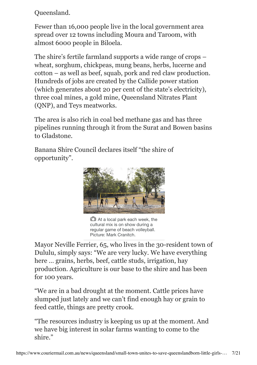Queensland.

Fewer than 16,000 people live in the local government area spread over 12 towns including Moura and Taroom, with almost 6000 people in Biloela.

The shire's fertile farmland supports a wide range of crops – wheat, sorghum, chickpeas, mung beans, herbs, lucerne and cotton – as well as beef, squab, pork and red claw production. Hundreds of jobs are created by the Callide power station (which generates about 20 per cent of the state's electricity), three coal mines, a gold mine, Queensland Nitrates Plant (QNP), and Teys meatworks.

The area is also rich in coal bed methane gas and has three pipelines running through it from the Surat and Bowen basins to Gladstone.

Banana Shire Council declares itself "the shire of opportunity".



**C** At a local park each week, the cultural mix is on show during a regular game of beach volleyball. Picture: Mark Cranitch.

Mayor Neville Ferrier, 65, who lives in the 30-resident town of Dululu, simply says: "We are very lucky. We have everything here … grains, herbs, beef, cattle studs, irrigation, hay production. Agriculture is our base to the shire and has been for 100 years.

"We are in a bad drought at the moment. Cattle prices have slumped just lately and we can't find enough hay or grain to feed cattle, things are pretty crook.

"The resources industry is keeping us up at the moment. And we have big interest in solar farms wanting to come to the shire."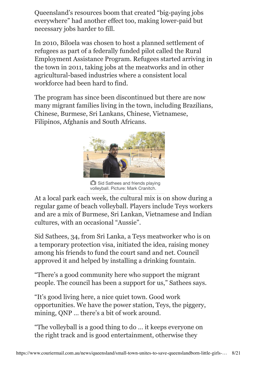Queensland's resources boom that created "big-paying jobs everywhere" had another effect too, making lower-paid but necessary jobs harder to fill.

In 2010, Biloela was chosen to host a planned settlement of refugees as part of a federally funded pilot called the Rural Employment Assistance Program. Refugees started arriving in the town in 2011, taking jobs at the meatworks and in other agricultural-based industries where a consistent local workforce had been hard to find.

The program has since been discontinued but there are now many migrant families living in the town, including Brazilians, Chinese, Burmese, Sri Lankans, Chinese, Vietnamese, Filipinos, Afghanis and South Africans.



**C** Sid Sathees and friends playing volleyball. Picture: Mark Cranitch.

At a local park each week, the cultural mix is on show during a regular game of beach volleyball. Players include Teys workers and are a mix of Burmese, Sri Lankan, Vietnamese and Indian cultures, with an occasional "Aussie".

Sid Sathees, 34, from Sri Lanka, a Teys meatworker who is on a temporary protection visa, initiated the idea, raising money among his friends to fund the court sand and net. Council approved it and helped by installing a drinking fountain.

"There's a good community here who support the migrant people. The council has been a support for us," Sathees says.

"It's good living here, a nice quiet town. Good work opportunities. We have the power station, Teys, the piggery, mining, QNP … there's a bit of work around.

"The volleyball is a good thing to do … it keeps everyone on the right track and is good entertainment, otherwise they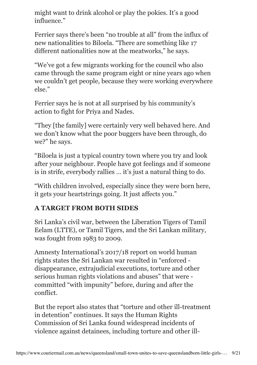might want to drink alcohol or play the pokies. It's a good influence."

Ferrier says there's been "no trouble at all" from the influx of new nationalities to Biloela. "There are something like 17 different nationalities now at the meatworks," he says.

"We've got a few migrants working for the council who also came through the same program eight or nine years ago when we couldn't get people, because they were working everywhere else."

Ferrier says he is not at all surprised by his community's action to fight for Priya and Nades.

"They [the family] were certainly very well behaved here. And we don't know what the poor buggers have been through, do we?" he says.

"Biloela is just a typical country town where you try and look after your neighbour. People have got feelings and if someone is in strife, everybody rallies … it's just a natural thing to do.

"With children involved, especially since they were born here, it gets your heartstrings going. It just affects you."

## **A TARGET FROM BOTH SIDES**

Sri Lanka's civil war, between the Liberation Tigers of Tamil Eelam (LTTE), or Tamil Tigers, and the Sri Lankan military, was fought from 1983 to 2009.

Amnesty International's 2017/18 report on world human rights states the Sri Lankan war resulted in "enforced disappearance, extrajudicial executions, torture and other serious human rights violations and abuses" that were committed "with impunity" before, during and after the conflict.

But the report also states that "torture and other ill-treatment in detention" continues. It says the Human Rights Commission of Sri Lanka found widespread incidents of violence against detainees, including torture and other ill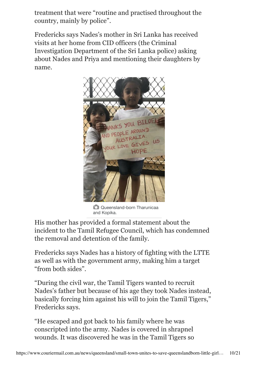treatment that were "routine and practised throughout the country, mainly by police".

Fredericks says Nades's mother in Sri Lanka has received visits at her home from CID officers (the Criminal Investigation Department of the Sri Lanka police) asking about Nades and Priya and mentioning their daughters by name.



**Queensland-born Tharunicaa** and Kopika.

His mother has provided a formal statement about the incident to the Tamil Refugee Council, which has condemned the removal and detention of the family.

Fredericks says Nades has a history of fighting with the LTTE as well as with the government army, making him a target "from both sides".

"During the civil war, the Tamil Tigers wanted to recruit Nades's father but because of his age they took Nades instead, basically forcing him against his will to join the Tamil Tigers," Fredericks says.

"He escaped and got back to his family where he was conscripted into the army. Nades is covered in shrapnel wounds. It was discovered he was in the Tamil Tigers so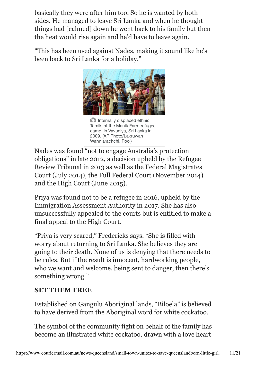basically they were after him too. So he is wanted by both sides. He managed to leave Sri Lanka and when he thought things had [calmed] down he went back to his family but then the heat would rise again and he'd have to leave again.

"This has been used against Nades, making it sound like he's been back to Sri Lanka for a holiday."



**Internally displaced ethnic** Tamils at the Manik Farm refugee camp, in Vavuniya, Sri Lanka in 2009. (AP Photo/Lakruwan Wanniarachchi, Pool)

Nades was found "not to engage Australia's protection obligations" in late 2012, a decision upheld by the Refugee Review Tribunal in 2013 as well as the Federal Magistrates Court (July 2014), the Full Federal Court (November 2014) and the High Court (June 2015).

Priya was found not to be a refugee in 2016, upheld by the Immigration Assessment Authority in 2017. She has also unsuccessfully appealed to the courts but is entitled to make a final appeal to the High Court.

"Priya is very scared," Fredericks says. "She is filled with worry about returning to Sri Lanka. She believes they are going to their death. None of us is denying that there needs to be rules. But if the result is innocent, hardworking people, who we want and welcome, being sent to danger, then there's something wrong."

#### **SET THEM FREE**

Established on Gangulu Aboriginal lands, "Biloela" is believed to have derived from the Aboriginal word for white cockatoo.

The symbol of the community fight on behalf of the family has become an illustrated white cockatoo, drawn with a love heart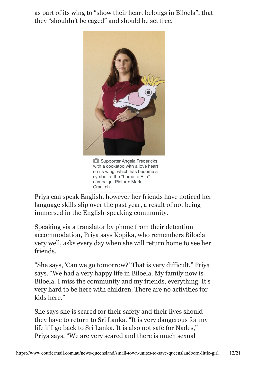as part of its wing to "show their heart belongs in Biloela", that they "shouldn't be caged" and should be set free.



**C** Supporter Angela Fredericks with a cockatoo with a love heart on its wing, which has become a symbol of the "home to Bilo" campaign. Picture: Mark Cranitch.

Priya can speak English, however her friends have noticed her language skills slip over the past year, a result of not being immersed in the English-speaking community.

Speaking via a translator by phone from their detention accommodation, Priya says Kopika, who remembers Biloela very well, asks every day when she will return home to see her friends.

"She says, 'Can we go tomorrow?' That is very difficult," Priya says. "We had a very happy life in Biloela. My family now is Biloela. I miss the community and my friends, everything. It's very hard to be here with children. There are no activities for kids here."

She says she is scared for their safety and their lives should they have to return to Sri Lanka. "It is very dangerous for my life if I go back to Sri Lanka. It is also not safe for Nades," Priya says. "We are very scared and there is much sexual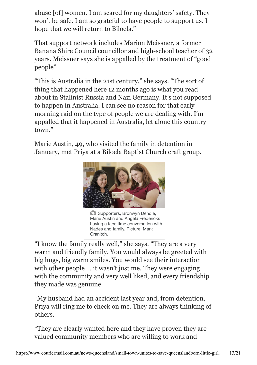abuse [of] women. I am scared for my daughters' safety. They won't be safe. I am so grateful to have people to support us. I hope that we will return to Biloela."

That support network includes Marion Meissner, a former Banana Shire Council councillor and high-school teacher of 32 years. Meissner says she is appalled by the treatment of "good people".

"This is Australia in the 21st century," she says. "The sort of thing that happened here 12 months ago is what you read about in Stalinist Russia and Nazi Germany. It's not supposed to happen in Australia. I can see no reason for that early morning raid on the type of people we are dealing with. I'm appalled that it happened in Australia, let alone this country town."

Marie Austin, 49, who visited the family in detention in January, met Priya at a Biloela Baptist Church craft group.



**C** Supporters, Bronwyn Dendle, Marie Austin and Angela Fredericks having a face time conversation with Nades and family. Picture: Mark Cranitch.

"I know the family really well," she says. "They are a very warm and friendly family. You would always be greeted with big hugs, big warm smiles. You would see their interaction with other people ... it wasn't just me. They were engaging with the community and very well liked, and every friendship they made was genuine.

"My husband had an accident last year and, from detention, Priya will ring me to check on me. They are always thinking of others.

"They are clearly wanted here and they have proven they are valued community members who are willing to work and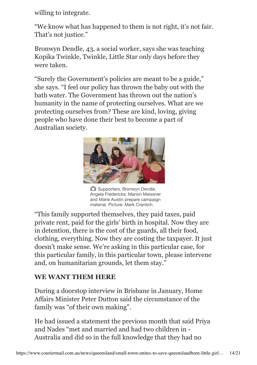willing to integrate.

"We know what has happened to them is not right, it's not fair. That's not justice."

Bronwyn Dendle, 43, a social worker, says she was teaching Kopika Twinkle, Twinkle, Little Star only days before they were taken.

"Surely the Government's policies are meant to be a guide," she says. "I feel our policy has thrown the baby out with the bath water. The Government has thrown out the nation's humanity in the name of protecting ourselves. What are we protecting ourselves from? These are kind, loving, giving people who have done their best to become a part of Australian society.



**C** Supporters, Bronwyn Dendle, Angela Fredericks; Marion Meissner and Marie Austin prepare campaign material. Picture: Mark Cranitch.

"This family supported themselves, they paid taxes, paid private rent, paid for the girls' birth in hospital. Now they are in detention, there is the cost of the guards, all their food, clothing, everything. Now they are costing the taxpayer. It just doesn't make sense. We're asking in this particular case, for this particular family, in this particular town, please intervene and, on humanitarian grounds, let them stay."

## **WE WANT THEM HERE**

During a doorstop interview in Brisbane in January, Home Affairs Minister Peter Dutton said the circumstance of the family was "of their own making".

He had issued a statement the previous month that said Priya and Nades "met and married and had two children in - Australia and did so in the full knowledge that they had no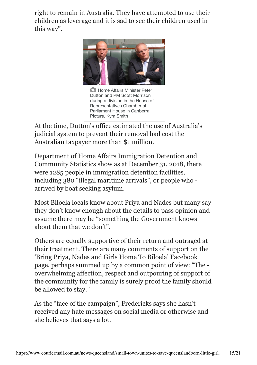right to remain in Australia. They have attempted to use their children as leverage and it is sad to see their children used in this way".



**Home Affairs Minister Peter** Dutton and PM Scott Morrison during a division in the House of Representatives Chamber at Parliament House in Canberra. Picture. Kym Smith

At the time, Dutton's office estimated the use of Australia's judicial system to prevent their removal had cost the Australian taxpayer more than \$1 million.

Department of Home Affairs Immigration Detention and Community Statistics show as at December 31, 2018, there were 1285 people in immigration detention facilities, including 380 "illegal maritime arrivals", or people who arrived by boat seeking asylum.

Most Biloela locals know about Priya and Nades but many say they don't know enough about the details to pass opinion and assume there may be "something the Government knows about them that we don't".

Others are equally supportive of their return and outraged at their treatment. There are many comments of support on the 'Bring Priya, Nades and Girls Home To Biloela' Facebook page, perhaps summed up by a common point of view: "The overwhelming affection, respect and outpouring of support of the community for the family is surely proof the family should be allowed to stay."

As the "face of the campaign", Fredericks says she hasn't received any hate messages on social media or otherwise and she believes that says a lot.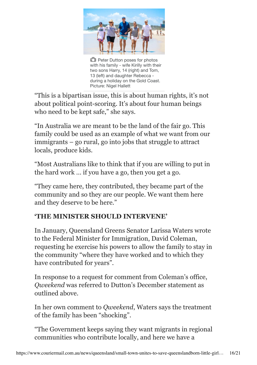

**Peter Dutton poses for photos** with his family - wife Kirilly with their two sons Harry, 14 (right) and Tom, 13 (left) and daughter Rebecca during a holiday on the Gold Coast. Picture: Nigel Hallett

"This is a bipartisan issue, this is about human rights, it's not about political point-scoring. It's about four human beings who need to be kept safe," she says.

"In Australia we are meant to be the land of the fair go. This family could be used as an example of what we want from our immigrants – go rural, go into jobs that struggle to attract locals, produce kids.

"Most Australians like to think that if you are willing to put in the hard work … if you have a go, then you get a go.

"They came here, they contributed, they became part of the community and so they are our people. We want them here and they deserve to be here."

## **'THE MINISTER SHOULD INTERVENE'**

In January, Queensland Greens Senator Larissa Waters wrote to the Federal Minister for Immigration, David Coleman, requesting he exercise his powers to allow the family to stay in the community "where they have worked and to which they have contributed for years".

In response to a request for comment from Coleman's office, *Qweekend* was referred to Dutton's December statement as outlined above.

In her own comment to *Qweekend*, Waters says the treatment of the family has been "shocking".

"The Government keeps saying they want migrants in regional communities who contribute locally, and here we have a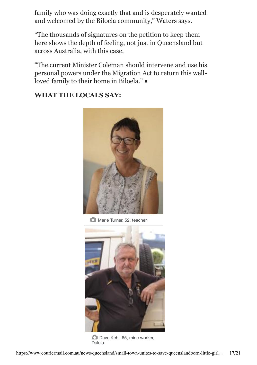family who was doing exactly that and is desperately wanted and welcomed by the Biloela community," Waters says.

"The thousands of signatures on the petition to keep them here shows the depth of feeling, not just in Queensland but across Australia, with this case.

"The current Minister Coleman should intervene and use his personal powers under the Migration Act to return this wellloved family to their home in Biloela."

#### **WHAT THE LOCALS SAY:**



Marie Turner, 52, teacher.



Dave Kehl, 65, mine worker, Dululu.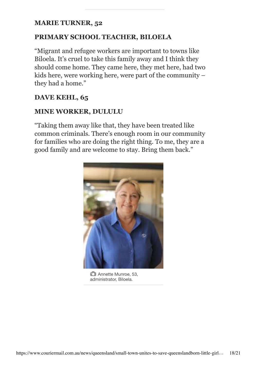#### **MARIE TURNER, 52**

#### **PRIMARY SCHOOL TEACHER, BILOELA**

"Migrant and refugee workers are important to towns like Biloela. It's cruel to take this family away and I think they should come home. They came here, they met here, had two kids here, were working here, were part of the community – they had a home."

#### **DAVE KEHL, 65**

#### **MINE WORKER, DULULU**

"Taking them away like that, they have been treated like common criminals. There's enough room in our community for families who are doing the right thing. To me, they are a good family and are welcome to stay. Bring them back."



**C** Annette Munroe, 53, administrator, Biloela.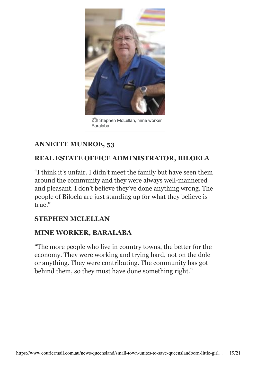

**C** Stephen McLellan, mine worker, Baralaba.

## **ANNETTE MUNROE, 53**

## **REAL ESTATE OFFICE ADMINISTRATOR, BILOELA**

"I think it's unfair. I didn't meet the family but have seen them around the community and they were always well-mannered and pleasant. I don't believe they've done anything wrong. The people of Biloela are just standing up for what they believe is true."

#### **STEPHEN MCLELLAN**

#### **MINE WORKER, BARALABA**

"The more people who live in country towns, the better for the economy. They were working and trying hard, not on the dole or anything. They were contributing. The community has got behind them, so they must have done something right."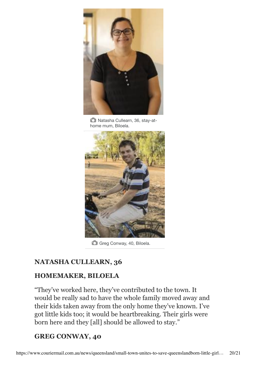

Natasha Cullearn, 36, stay-athome mum, Biloela.



Greg Conway, 40, Biloela.

## **NATASHA CULLEARN, 36**

## **HOMEMAKER, BILOELA**

"They've worked here, they've contributed to the town. It would be really sad to have the whole family moved away and their kids taken away from the only home they've known. I've got little kids too; it would be heartbreaking. Their girls were born here and they [all] should be allowed to stay."

## **GREG CONWAY, 40**